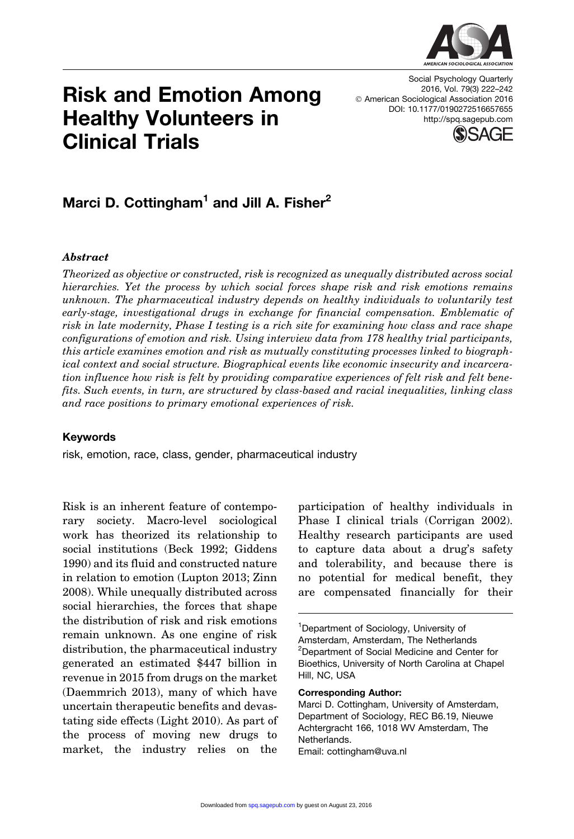

# Risk and Emotion Among Healthy Volunteers in Clinical Trials

Social Psychology Quarterly 2016, Vol. 79(3) 222–242 - American Sociological Association 2016 DOI: 10.1177/0190272516657655 http://spq.sagepub.com



# Marci D. Cottingham<sup>1</sup> and Jill A. Fisher<sup>2</sup>

#### Abstract

Theorized as objective or constructed, risk is recognized as unequally distributed across social hierarchies. Yet the process by which social forces shape risk and risk emotions remains unknown. The pharmaceutical industry depends on healthy individuals to voluntarily test early-stage, investigational drugs in exchange for financial compensation. Emblematic of risk in late modernity, Phase I testing is a rich site for examining how class and race shape configurations of emotion and risk. Using interview data from 178 healthy trial participants, this article examines emotion and risk as mutually constituting processes linked to biographical context and social structure. Biographical events like economic insecurity and incarceration influence how risk is felt by providing comparative experiences of felt risk and felt benefits. Such events, in turn, are structured by class-based and racial inequalities, linking class and race positions to primary emotional experiences of risk.

#### Keywords

risk, emotion, race, class, gender, pharmaceutical industry

Risk is an inherent feature of contemporary society. Macro-level sociological work has theorized its relationship to social institutions (Beck 1992; Giddens 1990) and its fluid and constructed nature in relation to emotion (Lupton 2013; Zinn 2008). While unequally distributed across social hierarchies, the forces that shape the distribution of risk and risk emotions remain unknown. As one engine of risk distribution, the pharmaceutical industry generated an estimated \$447 billion in revenue in 2015 from drugs on the market (Daemmrich 2013), many of which have uncertain therapeutic benefits and devastating side effects (Light 2010). As part of the process of moving new drugs to market, the industry relies on the participation of healthy individuals in Phase I clinical trials (Corrigan 2002). Healthy research participants are used to capture data about a drug's safety and tolerability, and because there is no potential for medical benefit, they are compensated financially for their

Corresponding Author:

Marci D. Cottingham, University of Amsterdam, Department of Sociology, REC B6.19, Nieuwe Achtergracht 166, 1018 WV Amsterdam, The Netherlands. Email: cottingham@uva.nl

<sup>1</sup> Department of Sociology, University of Amsterdam, Amsterdam, The Netherlands <sup>2</sup>Department of Social Medicine and Center for Bioethics, University of North Carolina at Chapel Hill, NC, USA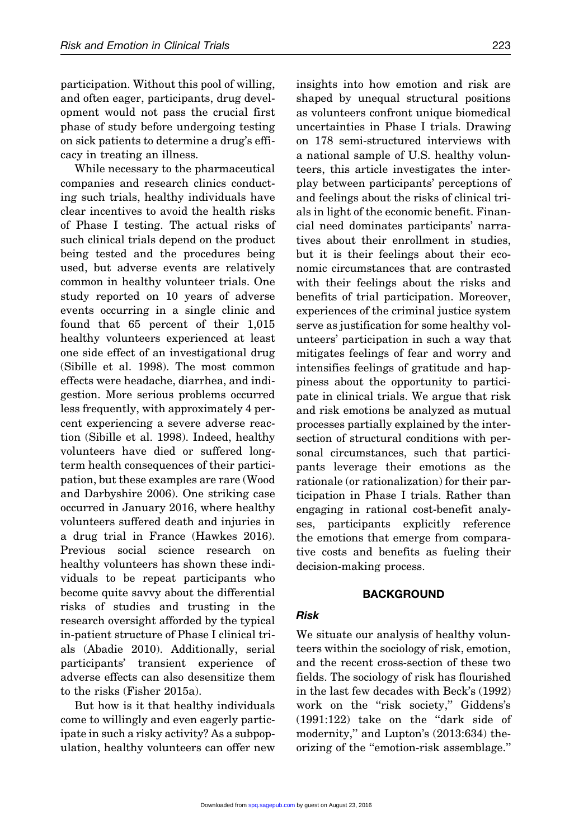participation. Without this pool of willing, and often eager, participants, drug development would not pass the crucial first phase of study before undergoing testing on sick patients to determine a drug's efficacy in treating an illness.

While necessary to the pharmaceutical companies and research clinics conducting such trials, healthy individuals have clear incentives to avoid the health risks of Phase I testing. The actual risks of such clinical trials depend on the product being tested and the procedures being used, but adverse events are relatively common in healthy volunteer trials. One study reported on 10 years of adverse events occurring in a single clinic and found that 65 percent of their 1,015 healthy volunteers experienced at least one side effect of an investigational drug (Sibille et al. 1998). The most common effects were headache, diarrhea, and indigestion. More serious problems occurred less frequently, with approximately 4 percent experiencing a severe adverse reaction (Sibille et al. 1998). Indeed, healthy volunteers have died or suffered longterm health consequences of their participation, but these examples are rare (Wood and Darbyshire 2006). One striking case occurred in January 2016, where healthy volunteers suffered death and injuries in a drug trial in France (Hawkes 2016). Previous social science research on healthy volunteers has shown these individuals to be repeat participants who become quite savvy about the differential risks of studies and trusting in the research oversight afforded by the typical in-patient structure of Phase I clinical trials (Abadie 2010). Additionally, serial participants' transient experience of adverse effects can also desensitize them to the risks (Fisher 2015a).

But how is it that healthy individuals come to willingly and even eagerly participate in such a risky activity? As a subpopulation, healthy volunteers can offer new

insights into how emotion and risk are shaped by unequal structural positions as volunteers confront unique biomedical uncertainties in Phase I trials. Drawing on 178 semi-structured interviews with a national sample of U.S. healthy volunteers, this article investigates the interplay between participants' perceptions of and feelings about the risks of clinical trials in light of the economic benefit. Financial need dominates participants' narratives about their enrollment in studies, but it is their feelings about their economic circumstances that are contrasted with their feelings about the risks and benefits of trial participation. Moreover, experiences of the criminal justice system serve as justification for some healthy volunteers' participation in such a way that mitigates feelings of fear and worry and intensifies feelings of gratitude and happiness about the opportunity to participate in clinical trials. We argue that risk and risk emotions be analyzed as mutual processes partially explained by the intersection of structural conditions with personal circumstances, such that participants leverage their emotions as the rationale (or rationalization) for their participation in Phase I trials. Rather than engaging in rational cost-benefit analyses, participants explicitly reference the emotions that emerge from comparative costs and benefits as fueling their decision-making process.

#### **BACKGROUND**

#### Risk

We situate our analysis of healthy volunteers within the sociology of risk, emotion, and the recent cross-section of these two fields. The sociology of risk has flourished in the last few decades with Beck's (1992) work on the "risk society," Giddens's (1991:122) take on the ''dark side of modernity," and Lupton's (2013:634) theorizing of the ''emotion-risk assemblage.''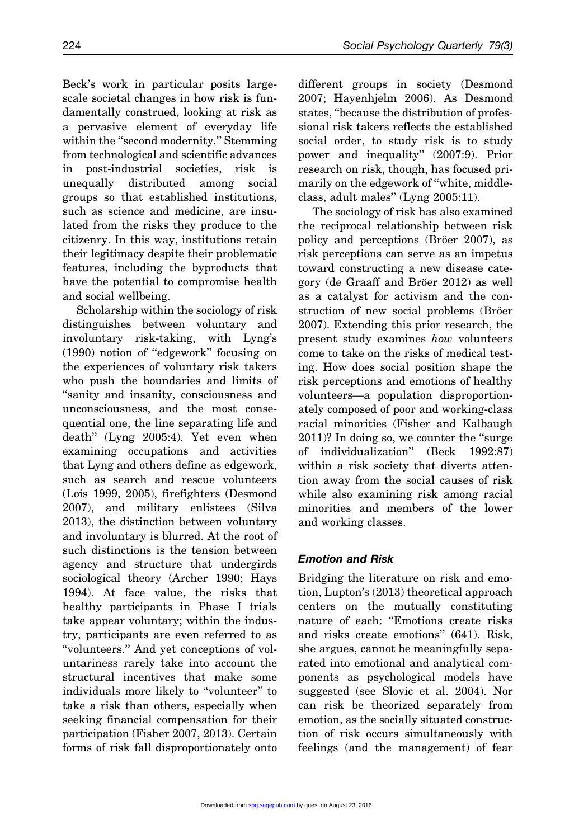Beck's work in particular posits largescale societal changes in how risk is fundamentally construed, looking at risk as a pervasive element of everyday life within the ''second modernity.'' Stemming from technological and scientific advances in post-industrial societies, risk is unequally distributed among social groups so that established institutions, such as science and medicine, are insulated from the risks they produce to the citizenry. In this way, institutions retain their legitimacy despite their problematic features, including the byproducts that have the potential to compromise health and social wellbeing.

Scholarship within the sociology of risk distinguishes between voluntary and involuntary risk-taking, with Lyng's (1990) notion of ''edgework'' focusing on the experiences of voluntary risk takers who push the boundaries and limits of ''sanity and insanity, consciousness and unconsciousness, and the most consequential one, the line separating life and death'' (Lyng 2005:4). Yet even when examining occupations and activities that Lyng and others define as edgework, such as search and rescue volunteers (Lois 1999, 2005), firefighters (Desmond 2007), and military enlistees (Silva 2013), the distinction between voluntary and involuntary is blurred. At the root of such distinctions is the tension between agency and structure that undergirds sociological theory (Archer 1990; Hays 1994). At face value, the risks that healthy participants in Phase I trials take appear voluntary; within the industry, participants are even referred to as ''volunteers.'' And yet conceptions of voluntariness rarely take into account the structural incentives that make some individuals more likely to ''volunteer'' to take a risk than others, especially when seeking financial compensation for their participation (Fisher 2007, 2013). Certain forms of risk fall disproportionately onto different groups in society (Desmond 2007; Hayenhjelm 2006). As Desmond states, ''because the distribution of professional risk takers reflects the established social order, to study risk is to study power and inequality'' (2007:9). Prior research on risk, though, has focused primarily on the edgework of "white, middleclass, adult males'' (Lyng 2005:11).

The sociology of risk has also examined the reciprocal relationship between risk policy and perceptions (Bröer 2007), as risk perceptions can serve as an impetus toward constructing a new disease category (de Graaff and Bröer 2012) as well as a catalyst for activism and the construction of new social problems (Bröer 2007). Extending this prior research, the present study examines how volunteers come to take on the risks of medical testing. How does social position shape the risk perceptions and emotions of healthy volunteers—a population disproportionately composed of poor and working-class racial minorities (Fisher and Kalbaugh 2011)? In doing so, we counter the ''surge of individualization'' (Beck 1992:87) within a risk society that diverts attention away from the social causes of risk while also examining risk among racial minorities and members of the lower and working classes.

# Emotion and Risk

Bridging the literature on risk and emotion, Lupton's (2013) theoretical approach centers on the mutually constituting nature of each: ''Emotions create risks and risks create emotions'' (641). Risk, she argues, cannot be meaningfully separated into emotional and analytical components as psychological models have suggested (see Slovic et al. 2004). Nor can risk be theorized separately from emotion, as the socially situated construction of risk occurs simultaneously with feelings (and the management) of fear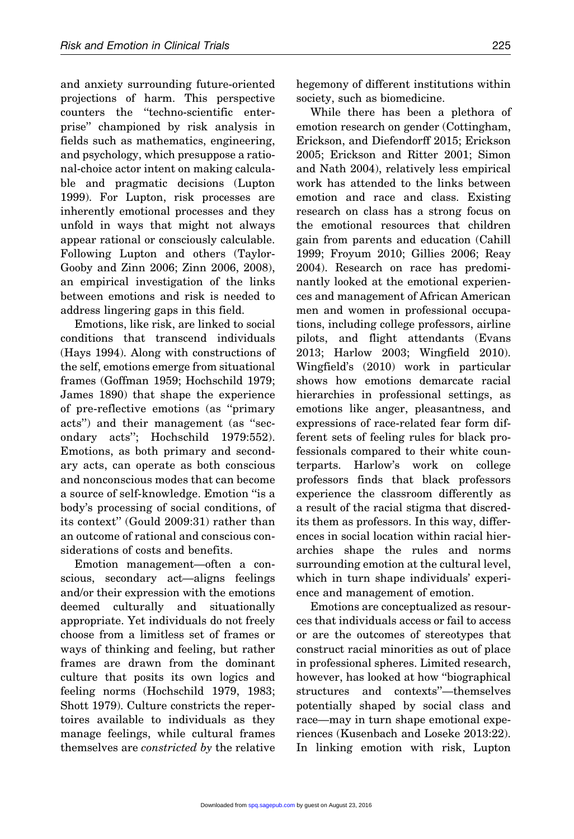and anxiety surrounding future-oriented projections of harm. This perspective counters the ''techno-scientific enterprise'' championed by risk analysis in fields such as mathematics, engineering, and psychology, which presuppose a rational-choice actor intent on making calculable and pragmatic decisions (Lupton 1999). For Lupton, risk processes are inherently emotional processes and they unfold in ways that might not always appear rational or consciously calculable. Following Lupton and others (Taylor-Gooby and Zinn 2006; Zinn 2006, 2008), an empirical investigation of the links between emotions and risk is needed to address lingering gaps in this field.

Emotions, like risk, are linked to social conditions that transcend individuals (Hays 1994). Along with constructions of the self, emotions emerge from situational frames (Goffman 1959; Hochschild 1979; James 1890) that shape the experience of pre-reflective emotions (as ''primary acts'') and their management (as ''secondary acts''; Hochschild 1979:552). Emotions, as both primary and secondary acts, can operate as both conscious and nonconscious modes that can become a source of self-knowledge. Emotion ''is a body's processing of social conditions, of its context'' (Gould 2009:31) rather than an outcome of rational and conscious considerations of costs and benefits.

Emotion management—often a conscious, secondary act—aligns feelings and/or their expression with the emotions deemed culturally and situationally appropriate. Yet individuals do not freely choose from a limitless set of frames or ways of thinking and feeling, but rather frames are drawn from the dominant culture that posits its own logics and feeling norms (Hochschild 1979, 1983; Shott 1979). Culture constricts the repertoires available to individuals as they manage feelings, while cultural frames themselves are constricted by the relative hegemony of different institutions within society, such as biomedicine.

While there has been a plethora of emotion research on gender (Cottingham, Erickson, and Diefendorff 2015; Erickson 2005; Erickson and Ritter 2001; Simon and Nath 2004), relatively less empirical work has attended to the links between emotion and race and class. Existing research on class has a strong focus on the emotional resources that children gain from parents and education (Cahill 1999; Froyum 2010; Gillies 2006; Reay 2004). Research on race has predominantly looked at the emotional experiences and management of African American men and women in professional occupations, including college professors, airline pilots, and flight attendants (Evans 2013; Harlow 2003; Wingfield 2010). Wingfield's (2010) work in particular shows how emotions demarcate racial hierarchies in professional settings, as emotions like anger, pleasantness, and expressions of race-related fear form different sets of feeling rules for black professionals compared to their white counterparts. Harlow's work on college professors finds that black professors experience the classroom differently as a result of the racial stigma that discredits them as professors. In this way, differences in social location within racial hierarchies shape the rules and norms surrounding emotion at the cultural level, which in turn shape individuals' experience and management of emotion.

Emotions are conceptualized as resources that individuals access or fail to access or are the outcomes of stereotypes that construct racial minorities as out of place in professional spheres. Limited research, however, has looked at how ''biographical structures and contexts''—themselves potentially shaped by social class and race—may in turn shape emotional experiences (Kusenbach and Loseke 2013:22). In linking emotion with risk, Lupton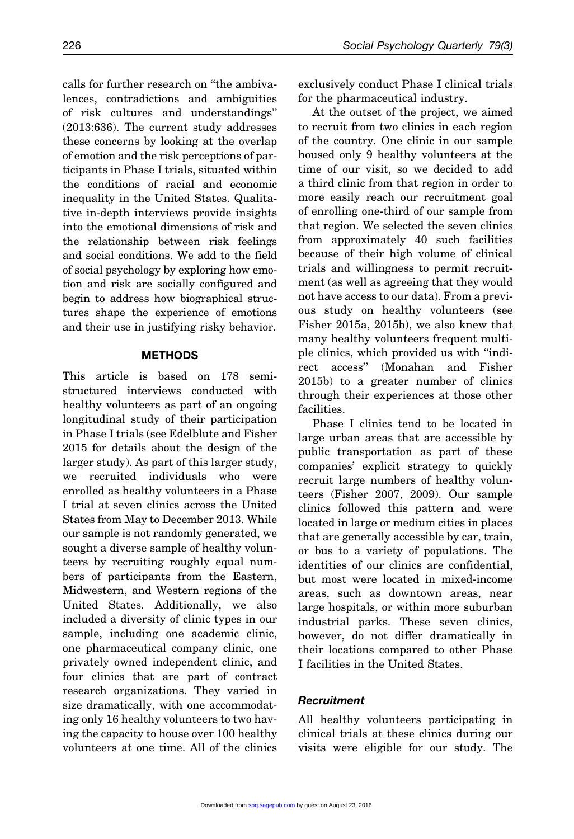calls for further research on ''the ambivalences, contradictions and ambiguities of risk cultures and understandings'' (2013:636). The current study addresses these concerns by looking at the overlap of emotion and the risk perceptions of participants in Phase I trials, situated within the conditions of racial and economic inequality in the United States. Qualitative in-depth interviews provide insights into the emotional dimensions of risk and the relationship between risk feelings and social conditions. We add to the field of social psychology by exploring how emotion and risk are socially configured and begin to address how biographical structures shape the experience of emotions and their use in justifying risky behavior.

#### **METHODS**

This article is based on 178 semistructured interviews conducted with healthy volunteers as part of an ongoing longitudinal study of their participation in Phase I trials (see Edelblute and Fisher 2015 for details about the design of the larger study). As part of this larger study, we recruited individuals who were enrolled as healthy volunteers in a Phase I trial at seven clinics across the United States from May to December 2013. While our sample is not randomly generated, we sought a diverse sample of healthy volunteers by recruiting roughly equal numbers of participants from the Eastern, Midwestern, and Western regions of the United States. Additionally, we also included a diversity of clinic types in our sample, including one academic clinic, one pharmaceutical company clinic, one privately owned independent clinic, and four clinics that are part of contract research organizations. They varied in size dramatically, with one accommodating only 16 healthy volunteers to two having the capacity to house over 100 healthy volunteers at one time. All of the clinics

exclusively conduct Phase I clinical trials for the pharmaceutical industry.

At the outset of the project, we aimed to recruit from two clinics in each region of the country. One clinic in our sample housed only 9 healthy volunteers at the time of our visit, so we decided to add a third clinic from that region in order to more easily reach our recruitment goal of enrolling one-third of our sample from that region. We selected the seven clinics from approximately 40 such facilities because of their high volume of clinical trials and willingness to permit recruitment (as well as agreeing that they would not have access to our data). From a previous study on healthy volunteers (see Fisher 2015a, 2015b), we also knew that many healthy volunteers frequent multiple clinics, which provided us with ''indirect access'' (Monahan and Fisher 2015b) to a greater number of clinics through their experiences at those other facilities.

Phase I clinics tend to be located in large urban areas that are accessible by public transportation as part of these companies' explicit strategy to quickly recruit large numbers of healthy volunteers (Fisher 2007, 2009). Our sample clinics followed this pattern and were located in large or medium cities in places that are generally accessible by car, train, or bus to a variety of populations. The identities of our clinics are confidential, but most were located in mixed-income areas, such as downtown areas, near large hospitals, or within more suburban industrial parks. These seven clinics, however, do not differ dramatically in their locations compared to other Phase I facilities in the United States.

#### **Recruitment**

All healthy volunteers participating in clinical trials at these clinics during our visits were eligible for our study. The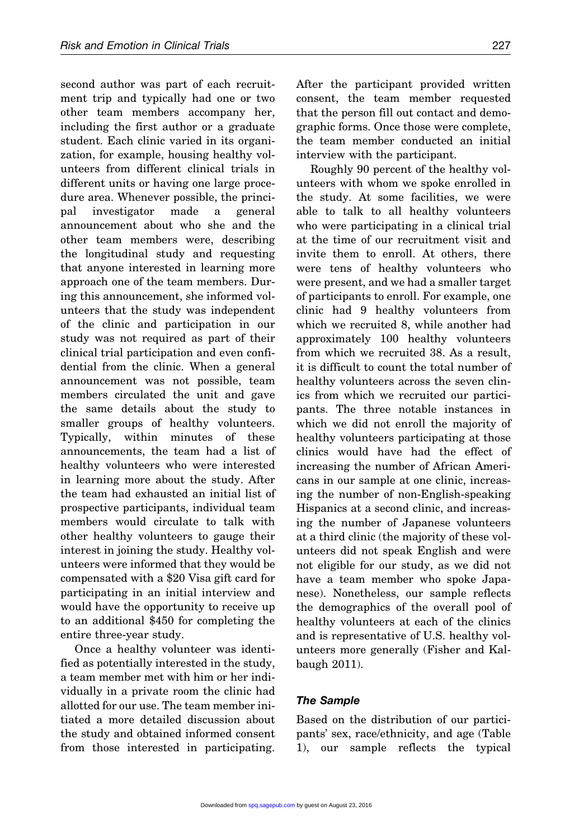second author was part of each recruitment trip and typically had one or two other team members accompany her, including the first author or a graduate student. Each clinic varied in its organization, for example, housing healthy volunteers from different clinical trials in different units or having one large procedure area. Whenever possible, the principal investigator made a general announcement about who she and the other team members were, describing the longitudinal study and requesting that anyone interested in learning more approach one of the team members. During this announcement, she informed volunteers that the study was independent of the clinic and participation in our study was not required as part of their clinical trial participation and even confidential from the clinic. When a general announcement was not possible, team members circulated the unit and gave the same details about the study to smaller groups of healthy volunteers. Typically, within minutes of these announcements, the team had a list of healthy volunteers who were interested in learning more about the study. After the team had exhausted an initial list of prospective participants, individual team members would circulate to talk with other healthy volunteers to gauge their interest in joining the study. Healthy volunteers were informed that they would be compensated with a \$20 Visa gift card for participating in an initial interview and would have the opportunity to receive up to an additional \$450 for completing the entire three-year study.

Once a healthy volunteer was identified as potentially interested in the study, a team member met with him or her individually in a private room the clinic had allotted for our use. The team member initiated a more detailed discussion about the study and obtained informed consent from those interested in participating.

After the participant provided written consent, the team member requested that the person fill out contact and demographic forms. Once those were complete, the team member conducted an initial interview with the participant.

Roughly 90 percent of the healthy volunteers with whom we spoke enrolled in the study. At some facilities, we were able to talk to all healthy volunteers who were participating in a clinical trial at the time of our recruitment visit and invite them to enroll. At others, there were tens of healthy volunteers who were present, and we had a smaller target of participants to enroll. For example, one clinic had 9 healthy volunteers from which we recruited 8, while another had approximately 100 healthy volunteers from which we recruited 38. As a result, it is difficult to count the total number of healthy volunteers across the seven clinics from which we recruited our participants. The three notable instances in which we did not enroll the majority of healthy volunteers participating at those clinics would have had the effect of increasing the number of African Americans in our sample at one clinic, increasing the number of non-English-speaking Hispanics at a second clinic, and increasing the number of Japanese volunteers at a third clinic (the majority of these volunteers did not speak English and were not eligible for our study, as we did not have a team member who spoke Japanese). Nonetheless, our sample reflects the demographics of the overall pool of healthy volunteers at each of the clinics and is representative of U.S. healthy volunteers more generally (Fisher and Kalbaugh 2011).

# The Sample

Based on the distribution of our participants' sex, race/ethnicity, and age (Table 1), our sample reflects the typical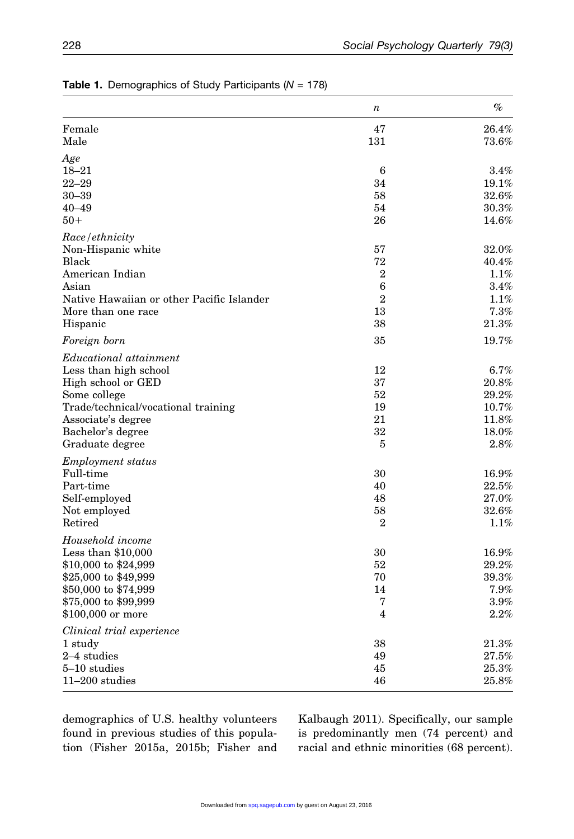|                                           | n                | $\%$     |
|-------------------------------------------|------------------|----------|
| Female                                    | 47               | 26.4%    |
| Male                                      | 131              | 73.6%    |
| Age                                       |                  |          |
| $18 - 21$                                 | 6                | $3.4\%$  |
| $22 - 29$                                 | 34               | 19.1%    |
| $30 - 39$                                 | 58               | 32.6%    |
| $40 - 49$                                 | 54               | 30.3%    |
| $50+$                                     | 26               | 14.6%    |
| Race/ethnicity                            |                  |          |
| Non-Hispanic white                        | 57               | 32.0%    |
| Black                                     | 72               | 40.4%    |
| American Indian                           | $\boldsymbol{2}$ | $1.1\%$  |
| Asian                                     | 6                | 3.4%     |
| Native Hawaiian or other Pacific Islander | $\overline{2}$   | 1.1%     |
| More than one race                        | 13               | 7.3%     |
| Hispanic                                  | 38               | 21.3%    |
| Foreign born                              | 35               | 19.7%    |
| Educational attainment                    |                  |          |
| Less than high school                     | 12               | 6.7%     |
| High school or GED                        | 37               | $20.8\%$ |
| Some college                              | 52               | 29.2%    |
| Trade/technical/vocational training       | 19               | 10.7%    |
| Associate's degree                        | 21               | 11.8%    |
| Bachelor's degree                         | 32               | 18.0%    |
| Graduate degree                           | $\overline{5}$   | 2.8%     |
| Employment status                         |                  |          |
| Full-time                                 | 30               | 16.9%    |
| Part-time                                 | 40               | 22.5%    |
| Self-employed                             | 48               | 27.0%    |
| Not employed                              | 58               | 32.6%    |
| Retired                                   | $\overline{2}$   | 1.1%     |
| Household income                          |                  |          |
| Less than $$10,000$                       | 30               | $16.9\%$ |
| \$10,000 to \$24,999                      | 52               | 29.2%    |
| \$25,000 to \$49,999                      | 70               | 39.3%    |
| \$50,000 to \$74,999                      | 14               | 7.9%     |
| \$75,000 to \$99,999                      | 7                | 3.9%     |
| \$100,000 or more                         | $\overline{4}$   | 2.2%     |
| Clinical trial experience                 |                  |          |
| 1 study                                   | 38               | 21.3%    |
| 2-4 studies                               | 49               | 27.5%    |
| $5-10$ studies                            | 45               | 25.3%    |
| $11-200$ studies                          | 46               | $25.8\%$ |

Table 1. Demographics of Study Participants (*N* = 178)

demographics of U.S. healthy volunteers found in previous studies of this population (Fisher 2015a, 2015b; Fisher and Kalbaugh 2011). Specifically, our sample is predominantly men (74 percent) and racial and ethnic minorities (68 percent).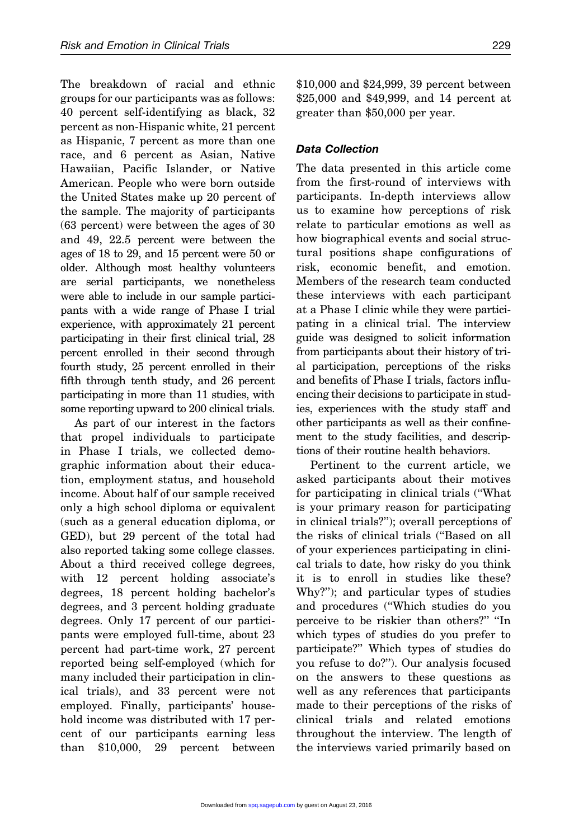The breakdown of racial and ethnic groups for our participants was as follows: 40 percent self-identifying as black, 32 percent as non-Hispanic white, 21 percent as Hispanic, 7 percent as more than one race, and 6 percent as Asian, Native Hawaiian, Pacific Islander, or Native American. People who were born outside the United States make up 20 percent of the sample. The majority of participants (63 percent) were between the ages of 30 and 49, 22.5 percent were between the ages of 18 to 29, and 15 percent were 50 or older. Although most healthy volunteers are serial participants, we nonetheless were able to include in our sample participants with a wide range of Phase I trial experience, with approximately 21 percent participating in their first clinical trial, 28 percent enrolled in their second through fourth study, 25 percent enrolled in their fifth through tenth study, and 26 percent participating in more than 11 studies, with some reporting upward to 200 clinical trials.

As part of our interest in the factors that propel individuals to participate in Phase I trials, we collected demographic information about their education, employment status, and household income. About half of our sample received only a high school diploma or equivalent (such as a general education diploma, or GED), but 29 percent of the total had also reported taking some college classes. About a third received college degrees, with 12 percent holding associate's degrees, 18 percent holding bachelor's degrees, and 3 percent holding graduate degrees. Only 17 percent of our participants were employed full-time, about 23 percent had part-time work, 27 percent reported being self-employed (which for many included their participation in clinical trials), and 33 percent were not employed. Finally, participants' household income was distributed with 17 percent of our participants earning less than \$10,000, 29 percent between \$10,000 and \$24,999, 39 percent between \$25,000 and \$49,999, and 14 percent at greater than \$50,000 per year.

# Data Collection

The data presented in this article come from the first-round of interviews with participants. In-depth interviews allow us to examine how perceptions of risk relate to particular emotions as well as how biographical events and social structural positions shape configurations of risk, economic benefit, and emotion. Members of the research team conducted these interviews with each participant at a Phase I clinic while they were participating in a clinical trial. The interview guide was designed to solicit information from participants about their history of trial participation, perceptions of the risks and benefits of Phase I trials, factors influencing their decisions to participate in studies, experiences with the study staff and other participants as well as their confinement to the study facilities, and descriptions of their routine health behaviors.

Pertinent to the current article, we asked participants about their motives for participating in clinical trials (''What is your primary reason for participating in clinical trials?''); overall perceptions of the risks of clinical trials (''Based on all of your experiences participating in clinical trials to date, how risky do you think it is to enroll in studies like these? Why?''); and particular types of studies and procedures (''Which studies do you perceive to be riskier than others?'' ''In which types of studies do you prefer to participate?'' Which types of studies do you refuse to do?''). Our analysis focused on the answers to these questions as well as any references that participants made to their perceptions of the risks of clinical trials and related emotions throughout the interview. The length of the interviews varied primarily based on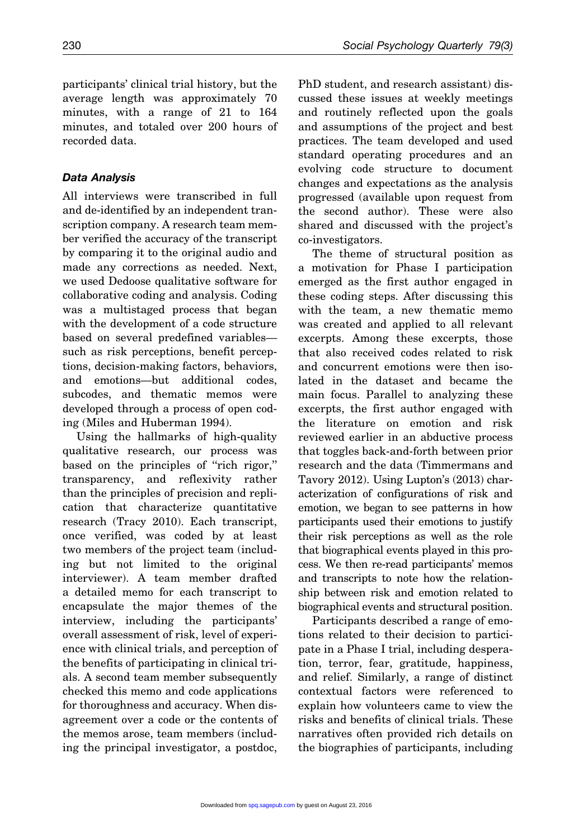participants' clinical trial history, but the average length was approximately 70 minutes, with a range of 21 to 164 minutes, and totaled over 200 hours of recorded data.

# Data Analysis

All interviews were transcribed in full and de-identified by an independent transcription company. A research team member verified the accuracy of the transcript by comparing it to the original audio and made any corrections as needed. Next, we used Dedoose qualitative software for collaborative coding and analysis. Coding was a multistaged process that began with the development of a code structure based on several predefined variables such as risk perceptions, benefit perceptions, decision-making factors, behaviors, and emotions—but additional codes, subcodes, and thematic memos were developed through a process of open coding (Miles and Huberman 1994).

Using the hallmarks of high-quality qualitative research, our process was based on the principles of ''rich rigor,'' transparency, and reflexivity rather than the principles of precision and replication that characterize quantitative research (Tracy 2010). Each transcript, once verified, was coded by at least two members of the project team (including but not limited to the original interviewer). A team member drafted a detailed memo for each transcript to encapsulate the major themes of the interview, including the participants' overall assessment of risk, level of experience with clinical trials, and perception of the benefits of participating in clinical trials. A second team member subsequently checked this memo and code applications for thoroughness and accuracy. When disagreement over a code or the contents of the memos arose, team members (including the principal investigator, a postdoc,

PhD student, and research assistant) discussed these issues at weekly meetings and routinely reflected upon the goals and assumptions of the project and best practices. The team developed and used standard operating procedures and an evolving code structure to document changes and expectations as the analysis progressed (available upon request from the second author). These were also shared and discussed with the project's co-investigators.

The theme of structural position as a motivation for Phase I participation emerged as the first author engaged in these coding steps. After discussing this with the team, a new thematic memo was created and applied to all relevant excerpts. Among these excerpts, those that also received codes related to risk and concurrent emotions were then isolated in the dataset and became the main focus. Parallel to analyzing these excerpts, the first author engaged with the literature on emotion and risk reviewed earlier in an abductive process that toggles back-and-forth between prior research and the data (Timmermans and Tavory 2012). Using Lupton's (2013) characterization of configurations of risk and emotion, we began to see patterns in how participants used their emotions to justify their risk perceptions as well as the role that biographical events played in this process. We then re-read participants' memos and transcripts to note how the relationship between risk and emotion related to biographical events and structural position.

Participants described a range of emotions related to their decision to participate in a Phase I trial, including desperation, terror, fear, gratitude, happiness, and relief. Similarly, a range of distinct contextual factors were referenced to explain how volunteers came to view the risks and benefits of clinical trials. These narratives often provided rich details on the biographies of participants, including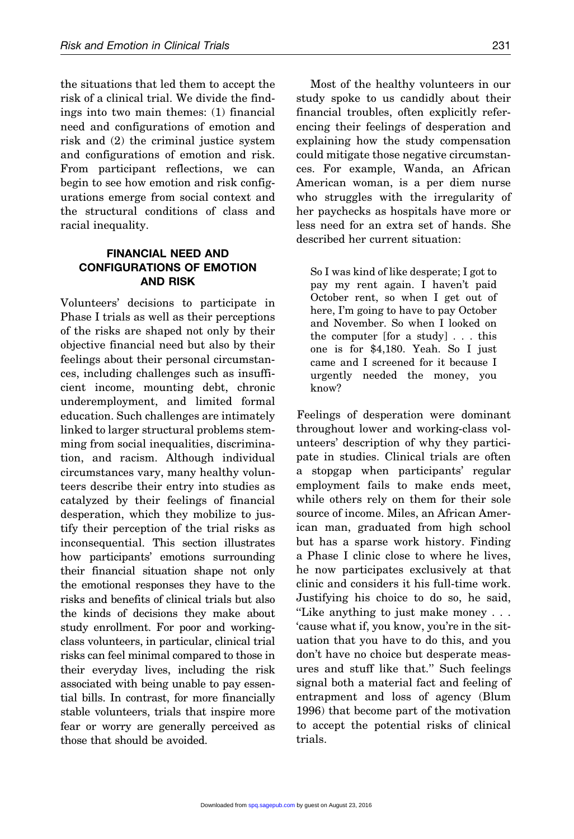the situations that led them to accept the risk of a clinical trial. We divide the findings into two main themes: (1) financial need and configurations of emotion and risk and (2) the criminal justice system and configurations of emotion and risk. From participant reflections, we can begin to see how emotion and risk configurations emerge from social context and the structural conditions of class and racial inequality.

# FINANCIAL NEED AND CONFIGURATIONS OF EMOTION AND RISK

Volunteers' decisions to participate in Phase I trials as well as their perceptions of the risks are shaped not only by their objective financial need but also by their feelings about their personal circumstances, including challenges such as insufficient income, mounting debt, chronic underemployment, and limited formal education. Such challenges are intimately linked to larger structural problems stemming from social inequalities, discrimination, and racism. Although individual circumstances vary, many healthy volunteers describe their entry into studies as catalyzed by their feelings of financial desperation, which they mobilize to justify their perception of the trial risks as inconsequential. This section illustrates how participants' emotions surrounding their financial situation shape not only the emotional responses they have to the risks and benefits of clinical trials but also the kinds of decisions they make about study enrollment. For poor and workingclass volunteers, in particular, clinical trial risks can feel minimal compared to those in their everyday lives, including the risk associated with being unable to pay essential bills. In contrast, for more financially stable volunteers, trials that inspire more fear or worry are generally perceived as those that should be avoided.

Most of the healthy volunteers in our study spoke to us candidly about their financial troubles, often explicitly referencing their feelings of desperation and explaining how the study compensation could mitigate those negative circumstances. For example, Wanda, an African American woman, is a per diem nurse who struggles with the irregularity of her paychecks as hospitals have more or less need for an extra set of hands. She described her current situation:

So I was kind of like desperate; I got to pay my rent again. I haven't paid October rent, so when I get out of here, I'm going to have to pay October and November. So when I looked on the computer [for a study] . . . this one is for \$4,180. Yeah. So I just came and I screened for it because I urgently needed the money, you know?

Feelings of desperation were dominant throughout lower and working-class volunteers' description of why they participate in studies. Clinical trials are often a stopgap when participants' regular employment fails to make ends meet, while others rely on them for their sole source of income. Miles, an African American man, graduated from high school but has a sparse work history. Finding a Phase I clinic close to where he lives, he now participates exclusively at that clinic and considers it his full-time work. Justifying his choice to do so, he said, ''Like anything to just make money . . . 'cause what if, you know, you're in the situation that you have to do this, and you don't have no choice but desperate measures and stuff like that.'' Such feelings signal both a material fact and feeling of entrapment and loss of agency (Blum 1996) that become part of the motivation to accept the potential risks of clinical trials.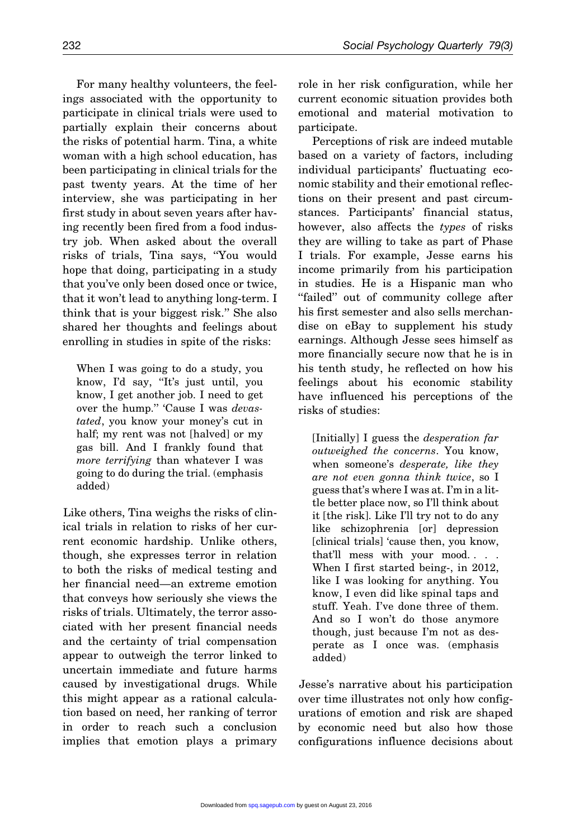For many healthy volunteers, the feelings associated with the opportunity to participate in clinical trials were used to partially explain their concerns about the risks of potential harm. Tina, a white woman with a high school education, has been participating in clinical trials for the past twenty years. At the time of her interview, she was participating in her first study in about seven years after having recently been fired from a food industry job. When asked about the overall risks of trials, Tina says, ''You would hope that doing, participating in a study that you've only been dosed once or twice, that it won't lead to anything long-term. I think that is your biggest risk.'' She also shared her thoughts and feelings about enrolling in studies in spite of the risks:

When I was going to do a study, you know, I'd say, ''It's just until, you know, I get another job. I need to get over the hump.'' 'Cause I was devastated, you know your money's cut in half; my rent was not [halved] or my gas bill. And I frankly found that more terrifying than whatever I was going to do during the trial. (emphasis added)

Like others, Tina weighs the risks of clinical trials in relation to risks of her current economic hardship. Unlike others, though, she expresses terror in relation to both the risks of medical testing and her financial need—an extreme emotion that conveys how seriously she views the risks of trials. Ultimately, the terror associated with her present financial needs and the certainty of trial compensation appear to outweigh the terror linked to uncertain immediate and future harms caused by investigational drugs. While this might appear as a rational calculation based on need, her ranking of terror in order to reach such a conclusion implies that emotion plays a primary

role in her risk configuration, while her current economic situation provides both emotional and material motivation to participate.

Perceptions of risk are indeed mutable based on a variety of factors, including individual participants' fluctuating economic stability and their emotional reflections on their present and past circumstances. Participants' financial status, however, also affects the *types* of risks they are willing to take as part of Phase I trials. For example, Jesse earns his income primarily from his participation in studies. He is a Hispanic man who ''failed'' out of community college after his first semester and also sells merchandise on eBay to supplement his study earnings. Although Jesse sees himself as more financially secure now that he is in his tenth study, he reflected on how his feelings about his economic stability have influenced his perceptions of the risks of studies:

[Initially] I guess the desperation far outweighed the concerns. You know, when someone's desperate, like they are not even gonna think twice, so I guess that's where I was at. I'm in a little better place now, so I'll think about it [the risk]. Like I'll try not to do any like schizophrenia [or] depression [clinical trials] 'cause then, you know, that'll mess with your mood. . . . When I first started being-, in 2012, like I was looking for anything. You know, I even did like spinal taps and stuff. Yeah. I've done three of them. And so I won't do those anymore though, just because I'm not as desperate as I once was. (emphasis added)

Jesse's narrative about his participation over time illustrates not only how configurations of emotion and risk are shaped by economic need but also how those configurations influence decisions about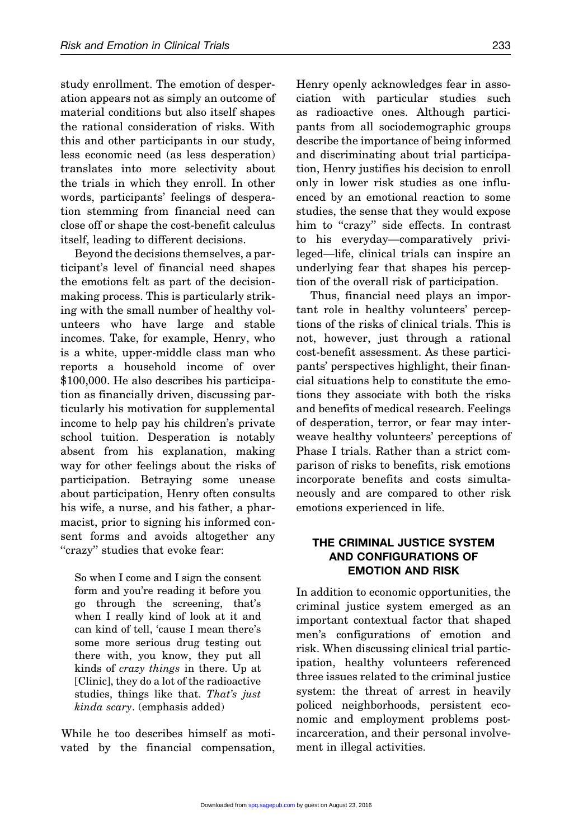study enrollment. The emotion of desperation appears not as simply an outcome of material conditions but also itself shapes the rational consideration of risks. With this and other participants in our study, less economic need (as less desperation) translates into more selectivity about the trials in which they enroll. In other words, participants' feelings of desperation stemming from financial need can close off or shape the cost-benefit calculus itself, leading to different decisions.

Beyond the decisions themselves, a participant's level of financial need shapes the emotions felt as part of the decisionmaking process. This is particularly striking with the small number of healthy volunteers who have large and stable incomes. Take, for example, Henry, who is a white, upper-middle class man who reports a household income of over \$100,000. He also describes his participation as financially driven, discussing particularly his motivation for supplemental income to help pay his children's private school tuition. Desperation is notably absent from his explanation, making way for other feelings about the risks of participation. Betraying some unease about participation, Henry often consults his wife, a nurse, and his father, a pharmacist, prior to signing his informed consent forms and avoids altogether any ''crazy'' studies that evoke fear:

So when I come and I sign the consent form and you're reading it before you go through the screening, that's when I really kind of look at it and can kind of tell, 'cause I mean there's some more serious drug testing out there with, you know, they put all kinds of crazy things in there. Up at [Clinic], they do a lot of the radioactive studies, things like that. That's just kinda scary. (emphasis added)

While he too describes himself as motivated by the financial compensation, Henry openly acknowledges fear in association with particular studies such as radioactive ones. Although participants from all sociodemographic groups describe the importance of being informed and discriminating about trial participation, Henry justifies his decision to enroll only in lower risk studies as one influenced by an emotional reaction to some studies, the sense that they would expose him to "crazy" side effects. In contrast to his everyday—comparatively privileged—life, clinical trials can inspire an underlying fear that shapes his perception of the overall risk of participation.

Thus, financial need plays an important role in healthy volunteers' perceptions of the risks of clinical trials. This is not, however, just through a rational cost-benefit assessment. As these participants' perspectives highlight, their financial situations help to constitute the emotions they associate with both the risks and benefits of medical research. Feelings of desperation, terror, or fear may interweave healthy volunteers' perceptions of Phase I trials. Rather than a strict comparison of risks to benefits, risk emotions incorporate benefits and costs simultaneously and are compared to other risk emotions experienced in life.

# THE CRIMINAL JUSTICE SYSTEM AND CONFIGURATIONS OF EMOTION AND RISK

In addition to economic opportunities, the criminal justice system emerged as an important contextual factor that shaped men's configurations of emotion and risk. When discussing clinical trial participation, healthy volunteers referenced three issues related to the criminal justice system: the threat of arrest in heavily policed neighborhoods, persistent economic and employment problems postincarceration, and their personal involvement in illegal activities.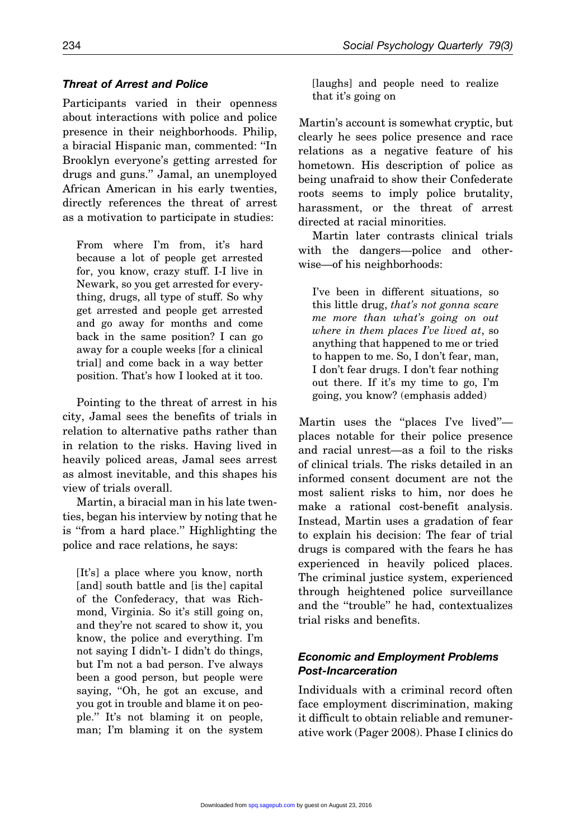### Threat of Arrest and Police

Participants varied in their openness about interactions with police and police presence in their neighborhoods. Philip, a biracial Hispanic man, commented: ''In Brooklyn everyone's getting arrested for drugs and guns.'' Jamal, an unemployed African American in his early twenties, directly references the threat of arrest as a motivation to participate in studies:

From where I'm from, it's hard because a lot of people get arrested for, you know, crazy stuff. I-I live in Newark, so you get arrested for everything, drugs, all type of stuff. So why get arrested and people get arrested and go away for months and come back in the same position? I can go away for a couple weeks [for a clinical trial] and come back in a way better position. That's how I looked at it too.

Pointing to the threat of arrest in his city, Jamal sees the benefits of trials in relation to alternative paths rather than in relation to the risks. Having lived in heavily policed areas, Jamal sees arrest as almost inevitable, and this shapes his view of trials overall.

Martin, a biracial man in his late twenties, began his interview by noting that he is "from a hard place." Highlighting the police and race relations, he says:

[It's] a place where you know, north [and] south battle and [is the] capital of the Confederacy, that was Richmond, Virginia. So it's still going on, and they're not scared to show it, you know, the police and everything. I'm not saying I didn't- I didn't do things, but I'm not a bad person. I've always been a good person, but people were saying, "Oh, he got an excuse, and you got in trouble and blame it on people.'' It's not blaming it on people, man; I'm blaming it on the system

[laughs] and people need to realize that it's going on

Martin's account is somewhat cryptic, but clearly he sees police presence and race relations as a negative feature of his hometown. His description of police as being unafraid to show their Confederate roots seems to imply police brutality, harassment, or the threat of arrest directed at racial minorities.

Martin later contrasts clinical trials with the dangers—police and otherwise—of his neighborhoods:

I've been in different situations, so this little drug, that's not gonna scare me more than what's going on out where in them places I've lived at, so anything that happened to me or tried to happen to me. So, I don't fear, man, I don't fear drugs. I don't fear nothing out there. If it's my time to go, I'm going, you know? (emphasis added)

Martin uses the ''places I've lived'' places notable for their police presence and racial unrest—as a foil to the risks of clinical trials. The risks detailed in an informed consent document are not the most salient risks to him, nor does he make a rational cost-benefit analysis. Instead, Martin uses a gradation of fear to explain his decision: The fear of trial drugs is compared with the fears he has experienced in heavily policed places. The criminal justice system, experienced through heightened police surveillance and the ''trouble'' he had, contextualizes trial risks and benefits.

# Economic and Employment Problems Post-Incarceration

Individuals with a criminal record often face employment discrimination, making it difficult to obtain reliable and remunerative work (Pager 2008). Phase I clinics do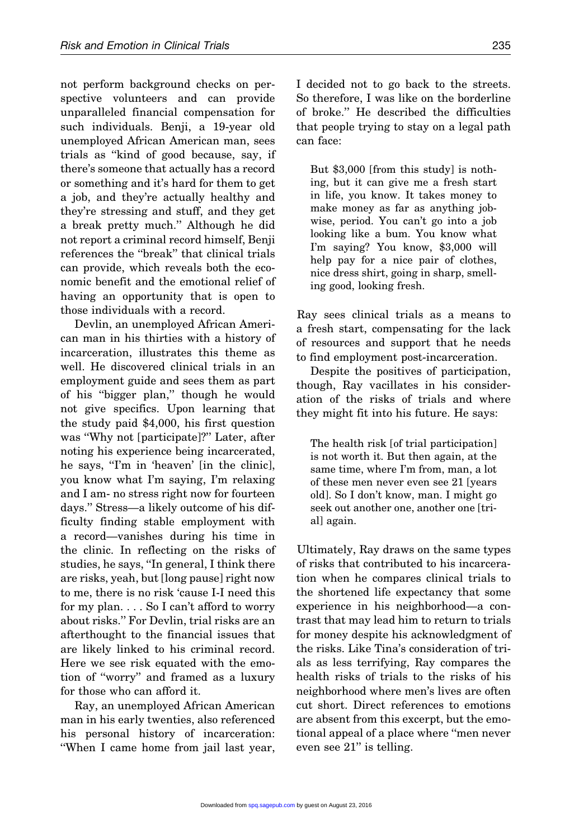not perform background checks on perspective volunteers and can provide unparalleled financial compensation for such individuals. Benji, a 19-year old unemployed African American man, sees trials as ''kind of good because, say, if there's someone that actually has a record or something and it's hard for them to get a job, and they're actually healthy and they're stressing and stuff, and they get a break pretty much.'' Although he did not report a criminal record himself, Benji references the ''break'' that clinical trials can provide, which reveals both the economic benefit and the emotional relief of having an opportunity that is open to those individuals with a record.

Devlin, an unemployed African American man in his thirties with a history of incarceration, illustrates this theme as well. He discovered clinical trials in an employment guide and sees them as part of his ''bigger plan,'' though he would not give specifics. Upon learning that the study paid \$4,000, his first question was ''Why not [participate]?'' Later, after noting his experience being incarcerated, he says, "I'm in 'heaven' [in the clinic], you know what I'm saying, I'm relaxing and I am- no stress right now for fourteen days.'' Stress—a likely outcome of his difficulty finding stable employment with a record—vanishes during his time in the clinic. In reflecting on the risks of studies, he says, ''In general, I think there are risks, yeah, but [long pause] right now to me, there is no risk 'cause I-I need this for my plan. . . . So I can't afford to worry about risks.'' For Devlin, trial risks are an afterthought to the financial issues that are likely linked to his criminal record. Here we see risk equated with the emotion of ''worry'' and framed as a luxury for those who can afford it.

Ray, an unemployed African American man in his early twenties, also referenced his personal history of incarceration: ''When I came home from jail last year,

I decided not to go back to the streets. So therefore, I was like on the borderline of broke.'' He described the difficulties that people trying to stay on a legal path can face:

But \$3,000 [from this study] is nothing, but it can give me a fresh start in life, you know. It takes money to make money as far as anything jobwise, period. You can't go into a job looking like a bum. You know what I'm saying? You know, \$3,000 will help pay for a nice pair of clothes, nice dress shirt, going in sharp, smelling good, looking fresh.

Ray sees clinical trials as a means to a fresh start, compensating for the lack of resources and support that he needs to find employment post-incarceration.

Despite the positives of participation, though, Ray vacillates in his consideration of the risks of trials and where they might fit into his future. He says:

The health risk [of trial participation] is not worth it. But then again, at the same time, where I'm from, man, a lot of these men never even see 21 [years old]. So I don't know, man. I might go seek out another one, another one [trial] again.

Ultimately, Ray draws on the same types of risks that contributed to his incarceration when he compares clinical trials to the shortened life expectancy that some experience in his neighborhood—a contrast that may lead him to return to trials for money despite his acknowledgment of the risks. Like Tina's consideration of trials as less terrifying, Ray compares the health risks of trials to the risks of his neighborhood where men's lives are often cut short. Direct references to emotions are absent from this excerpt, but the emotional appeal of a place where ''men never even see 21" is telling.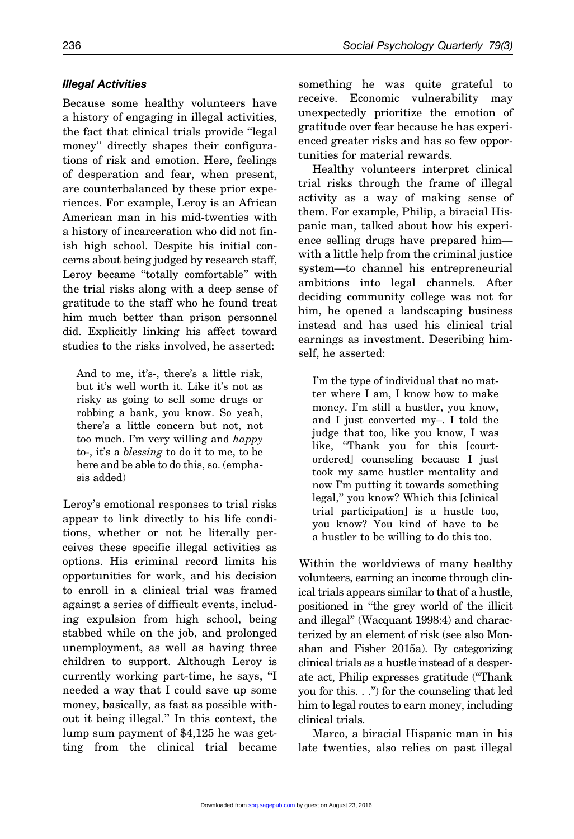### 236 *Social Psychology Quarterly 79(3)*

#### Illegal Activities

Because some healthy volunteers have a history of engaging in illegal activities, the fact that clinical trials provide ''legal money'' directly shapes their configurations of risk and emotion. Here, feelings of desperation and fear, when present, are counterbalanced by these prior experiences. For example, Leroy is an African American man in his mid-twenties with a history of incarceration who did not finish high school. Despite his initial concerns about being judged by research staff, Leroy became ''totally comfortable'' with the trial risks along with a deep sense of gratitude to the staff who he found treat him much better than prison personnel did. Explicitly linking his affect toward studies to the risks involved, he asserted:

And to me, it's-, there's a little risk, but it's well worth it. Like it's not as risky as going to sell some drugs or robbing a bank, you know. So yeah, there's a little concern but not, not too much. I'm very willing and happy to-, it's a blessing to do it to me, to be here and be able to do this, so. (emphasis added)

Leroy's emotional responses to trial risks appear to link directly to his life conditions, whether or not he literally perceives these specific illegal activities as options. His criminal record limits his opportunities for work, and his decision to enroll in a clinical trial was framed against a series of difficult events, including expulsion from high school, being stabbed while on the job, and prolonged unemployment, as well as having three children to support. Although Leroy is currently working part-time, he says, ''I needed a way that I could save up some money, basically, as fast as possible without it being illegal.'' In this context, the lump sum payment of \$4,125 he was getting from the clinical trial became something he was quite grateful to receive. Economic vulnerability may unexpectedly prioritize the emotion of gratitude over fear because he has experienced greater risks and has so few opportunities for material rewards.

Healthy volunteers interpret clinical trial risks through the frame of illegal activity as a way of making sense of them. For example, Philip, a biracial Hispanic man, talked about how his experience selling drugs have prepared him with a little help from the criminal justice system—to channel his entrepreneurial ambitions into legal channels. After deciding community college was not for him, he opened a landscaping business instead and has used his clinical trial earnings as investment. Describing himself, he asserted:

I'm the type of individual that no matter where I am, I know how to make money. I'm still a hustler, you know, and I just converted my–. I told the judge that too, like you know, I was like, ''Thank you for this [courtordered] counseling because I just took my same hustler mentality and now I'm putting it towards something legal,'' you know? Which this [clinical trial participation] is a hustle too, you know? You kind of have to be a hustler to be willing to do this too.

Within the worldviews of many healthy volunteers, earning an income through clinical trials appears similar to that of a hustle, positioned in ''the grey world of the illicit and illegal'' (Wacquant 1998:4) and characterized by an element of risk (see also Monahan and Fisher 2015a). By categorizing clinical trials as a hustle instead of a desperate act, Philip expresses gratitude (''Thank you for this. . .'') for the counseling that led him to legal routes to earn money, including clinical trials.

Marco, a biracial Hispanic man in his late twenties, also relies on past illegal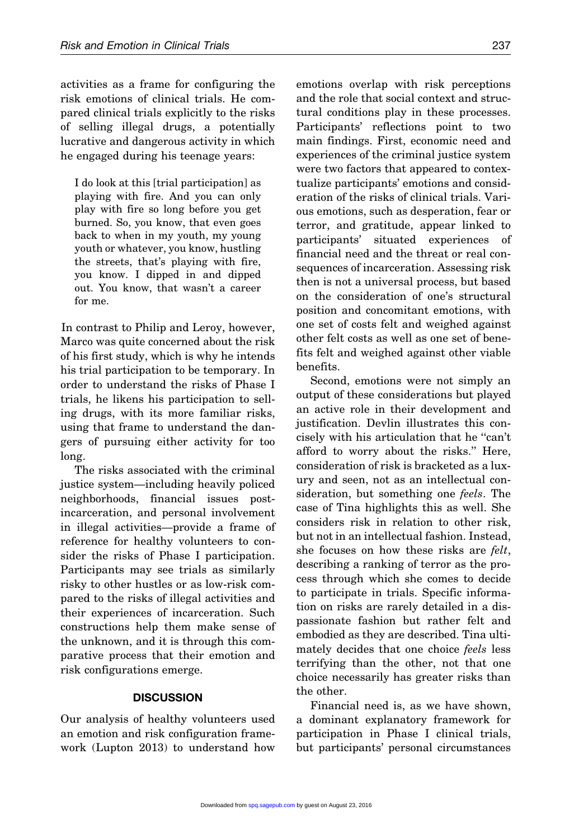activities as a frame for configuring the risk emotions of clinical trials. He compared clinical trials explicitly to the risks of selling illegal drugs, a potentially lucrative and dangerous activity in which he engaged during his teenage years:

I do look at this [trial participation] as playing with fire. And you can only play with fire so long before you get burned. So, you know, that even goes back to when in my youth, my young youth or whatever, you know, hustling the streets, that's playing with fire, you know. I dipped in and dipped out. You know, that wasn't a career for me.

In contrast to Philip and Leroy, however, Marco was quite concerned about the risk of his first study, which is why he intends his trial participation to be temporary. In order to understand the risks of Phase I trials, he likens his participation to selling drugs, with its more familiar risks, using that frame to understand the dangers of pursuing either activity for too long.

The risks associated with the criminal justice system—including heavily policed neighborhoods, financial issues postincarceration, and personal involvement in illegal activities—provide a frame of reference for healthy volunteers to consider the risks of Phase I participation. Participants may see trials as similarly risky to other hustles or as low-risk compared to the risks of illegal activities and their experiences of incarceration. Such constructions help them make sense of the unknown, and it is through this comparative process that their emotion and risk configurations emerge.

### **DISCUSSION**

Our analysis of healthy volunteers used an emotion and risk configuration framework (Lupton 2013) to understand how emotions overlap with risk perceptions and the role that social context and structural conditions play in these processes. Participants' reflections point to two main findings. First, economic need and experiences of the criminal justice system were two factors that appeared to contextualize participants' emotions and consideration of the risks of clinical trials. Various emotions, such as desperation, fear or terror, and gratitude, appear linked to participants' situated experiences of financial need and the threat or real consequences of incarceration. Assessing risk then is not a universal process, but based on the consideration of one's structural position and concomitant emotions, with one set of costs felt and weighed against other felt costs as well as one set of benefits felt and weighed against other viable benefits.

Second, emotions were not simply an output of these considerations but played an active role in their development and justification. Devlin illustrates this concisely with his articulation that he ''can't afford to worry about the risks.'' Here, consideration of risk is bracketed as a luxury and seen, not as an intellectual consideration, but something one *feels*. The case of Tina highlights this as well. She considers risk in relation to other risk, but not in an intellectual fashion. Instead, she focuses on how these risks are felt, describing a ranking of terror as the process through which she comes to decide to participate in trials. Specific information on risks are rarely detailed in a dispassionate fashion but rather felt and embodied as they are described. Tina ultimately decides that one choice *feels* less terrifying than the other, not that one choice necessarily has greater risks than the other.

Financial need is, as we have shown, a dominant explanatory framework for participation in Phase I clinical trials, but participants' personal circumstances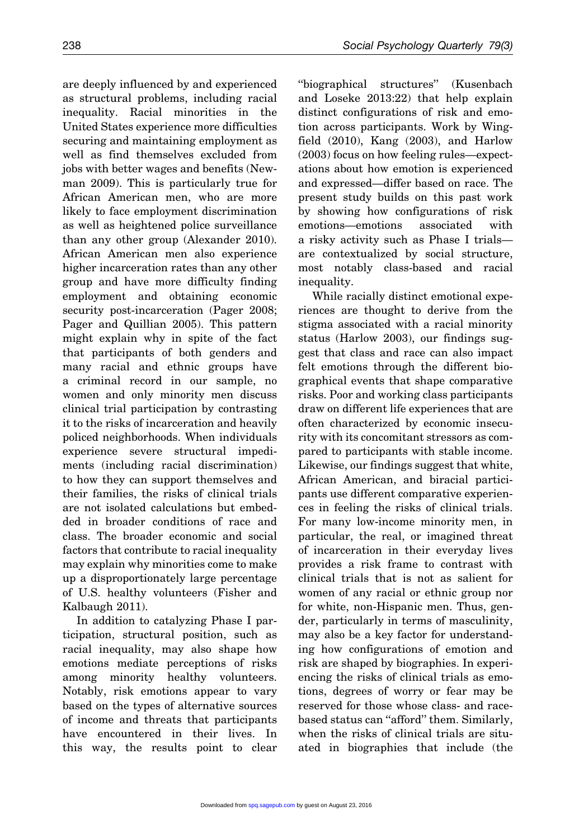are deeply influenced by and experienced as structural problems, including racial inequality. Racial minorities in the United States experience more difficulties securing and maintaining employment as well as find themselves excluded from jobs with better wages and benefits (Newman 2009). This is particularly true for African American men, who are more likely to face employment discrimination as well as heightened police surveillance than any other group (Alexander 2010). African American men also experience higher incarceration rates than any other group and have more difficulty finding employment and obtaining economic security post-incarceration (Pager 2008; Pager and Quillian 2005). This pattern might explain why in spite of the fact that participants of both genders and many racial and ethnic groups have a criminal record in our sample, no women and only minority men discuss clinical trial participation by contrasting it to the risks of incarceration and heavily policed neighborhoods. When individuals experience severe structural impediments (including racial discrimination) to how they can support themselves and their families, the risks of clinical trials are not isolated calculations but embedded in broader conditions of race and class. The broader economic and social factors that contribute to racial inequality may explain why minorities come to make up a disproportionately large percentage of U.S. healthy volunteers (Fisher and Kalbaugh 2011).

In addition to catalyzing Phase I participation, structural position, such as racial inequality, may also shape how emotions mediate perceptions of risks among minority healthy volunteers. Notably, risk emotions appear to vary based on the types of alternative sources of income and threats that participants have encountered in their lives. In this way, the results point to clear ''biographical structures'' (Kusenbach and Loseke 2013:22) that help explain distinct configurations of risk and emotion across participants. Work by Wingfield (2010), Kang (2003), and Harlow (2003) focus on how feeling rules—expectations about how emotion is experienced and expressed—differ based on race. The present study builds on this past work by showing how configurations of risk emotions—emotions associated with a risky activity such as Phase I trials are contextualized by social structure, most notably class-based and racial inequality.

While racially distinct emotional experiences are thought to derive from the stigma associated with a racial minority status (Harlow 2003), our findings suggest that class and race can also impact felt emotions through the different biographical events that shape comparative risks. Poor and working class participants draw on different life experiences that are often characterized by economic insecurity with its concomitant stressors as compared to participants with stable income. Likewise, our findings suggest that white, African American, and biracial participants use different comparative experiences in feeling the risks of clinical trials. For many low-income minority men, in particular, the real, or imagined threat of incarceration in their everyday lives provides a risk frame to contrast with clinical trials that is not as salient for women of any racial or ethnic group nor for white, non-Hispanic men. Thus, gender, particularly in terms of masculinity, may also be a key factor for understanding how configurations of emotion and risk are shaped by biographies. In experiencing the risks of clinical trials as emotions, degrees of worry or fear may be reserved for those whose class- and racebased status can ''afford'' them. Similarly, when the risks of clinical trials are situated in biographies that include (the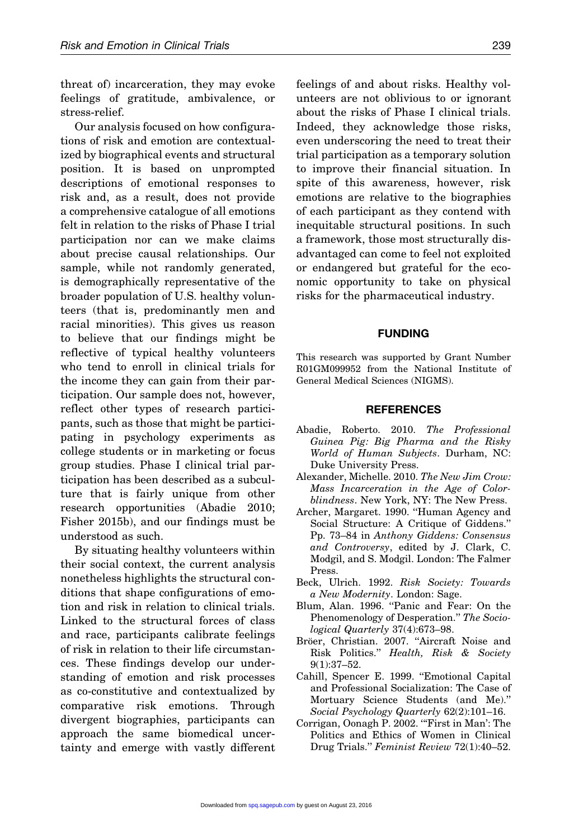threat of) incarceration, they may evoke feelings of gratitude, ambivalence, or stress-relief.

Our analysis focused on how configurations of risk and emotion are contextualized by biographical events and structural position. It is based on unprompted descriptions of emotional responses to risk and, as a result, does not provide a comprehensive catalogue of all emotions felt in relation to the risks of Phase I trial participation nor can we make claims about precise causal relationships. Our sample, while not randomly generated, is demographically representative of the broader population of U.S. healthy volunteers (that is, predominantly men and racial minorities). This gives us reason to believe that our findings might be reflective of typical healthy volunteers who tend to enroll in clinical trials for the income they can gain from their participation. Our sample does not, however, reflect other types of research participants, such as those that might be participating in psychology experiments as college students or in marketing or focus group studies. Phase I clinical trial participation has been described as a subculture that is fairly unique from other research opportunities (Abadie 2010; Fisher 2015b), and our findings must be understood as such.

By situating healthy volunteers within their social context, the current analysis nonetheless highlights the structural conditions that shape configurations of emotion and risk in relation to clinical trials. Linked to the structural forces of class and race, participants calibrate feelings of risk in relation to their life circumstances. These findings develop our understanding of emotion and risk processes as co-constitutive and contextualized by comparative risk emotions. Through divergent biographies, participants can approach the same biomedical uncertainty and emerge with vastly different feelings of and about risks. Healthy volunteers are not oblivious to or ignorant about the risks of Phase I clinical trials. Indeed, they acknowledge those risks, even underscoring the need to treat their trial participation as a temporary solution to improve their financial situation. In spite of this awareness, however, risk emotions are relative to the biographies of each participant as they contend with inequitable structural positions. In such a framework, those most structurally disadvantaged can come to feel not exploited or endangered but grateful for the economic opportunity to take on physical risks for the pharmaceutical industry.

#### FUNDING

This research was supported by Grant Number R01GM099952 from the National Institute of General Medical Sciences (NIGMS).

#### REFERENCES

- Abadie, Roberto. 2010. The Professional Guinea Pig: Big Pharma and the Risky World of Human Subjects. Durham, NC: Duke University Press.
- Alexander, Michelle. 2010. The New Jim Crow: Mass Incarceration in the Age of Colorblindness. New York, NY: The New Press.
- Archer, Margaret. 1990. ''Human Agency and Social Structure: A Critique of Giddens.'' Pp. 73–84 in Anthony Giddens: Consensus and Controversy, edited by J. Clark, C. Modgil, and S. Modgil. London: The Falmer Press.
- Beck, Ulrich. 1992. Risk Society: Towards a New Modernity. London: Sage.
- Blum, Alan. 1996. ''Panic and Fear: On the Phenomenology of Desperation.'' The Sociological Quarterly 37(4):673–98.
- Bröer, Christian. 2007. "Aircraft Noise and Risk Politics.'' Health, Risk & Society 9(1):37–52.
- Cahill, Spencer E. 1999. ''Emotional Capital and Professional Socialization: The Case of Mortuary Science Students (and Me).'' Social Psychology Quarterly 62(2):101–16.
- Corrigan, Oonagh P. 2002. "'First in Man': The Politics and Ethics of Women in Clinical Drug Trials.'' Feminist Review 72(1):40–52.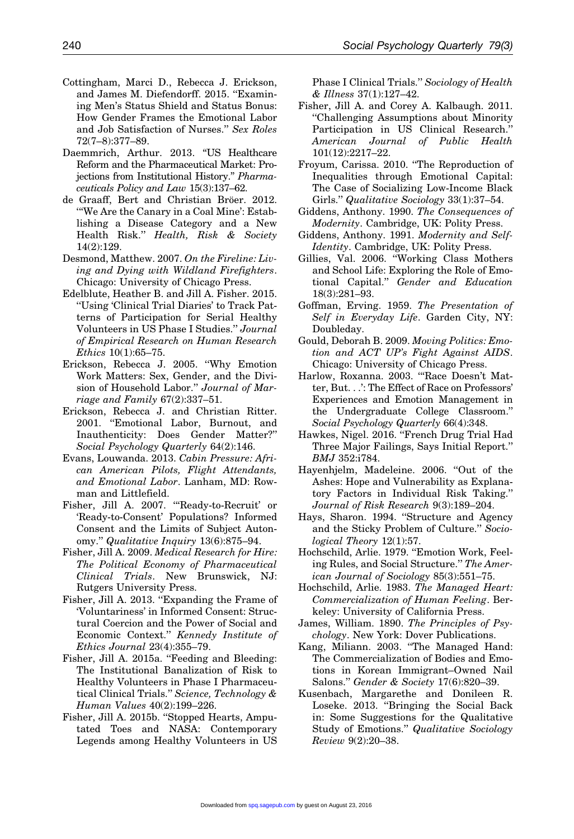- Cottingham, Marci D., Rebecca J. Erickson, and James M. Diefendorff. 2015. ''Examining Men's Status Shield and Status Bonus: How Gender Frames the Emotional Labor and Job Satisfaction of Nurses.'' Sex Roles 72(7–8):377–89.
- Daemmrich, Arthur. 2013. "US Healthcare Reform and the Pharmaceutical Market: Projections from Institutional History.'' Pharmaceuticals Policy and Law 15(3):137–62.
- de Graaff, Bert and Christian Bröer. 2012. '''We Are the Canary in a Coal Mine': Establishing a Disease Category and a New Health Risk.'' Health, Risk & Society 14(2):129.
- Desmond, Matthew. 2007. On the Fireline: Living and Dying with Wildland Firefighters. Chicago: University of Chicago Press.
- Edelblute, Heather B. and Jill A. Fisher. 2015. ''Using 'Clinical Trial Diaries' to Track Patterns of Participation for Serial Healthy Volunteers in US Phase I Studies.'' Journal of Empirical Research on Human Research Ethics 10(1):65–75.
- Erickson, Rebecca J. 2005. ''Why Emotion Work Matters: Sex, Gender, and the Division of Household Labor.'' Journal of Marriage and Family 67(2):337–51.
- Erickson, Rebecca J. and Christian Ritter. 2001. ''Emotional Labor, Burnout, and Inauthenticity: Does Gender Matter?'' Social Psychology Quarterly 64(2):146.
- Evans, Louwanda. 2013. Cabin Pressure: African American Pilots, Flight Attendants, and Emotional Labor. Lanham, MD: Rowman and Littlefield.
- Fisher, Jill A. 2007. '''Ready-to-Recruit' or 'Ready-to-Consent' Populations? Informed Consent and the Limits of Subject Autonomy.'' Qualitative Inquiry 13(6):875–94.
- Fisher, Jill A. 2009. Medical Research for Hire: The Political Economy of Pharmaceutical Clinical Trials. New Brunswick, NJ: Rutgers University Press.
- Fisher, Jill A. 2013. ''Expanding the Frame of 'Voluntariness' in Informed Consent: Structural Coercion and the Power of Social and Economic Context.'' Kennedy Institute of Ethics Journal 23(4):355–79.
- Fisher, Jill A. 2015a. ''Feeding and Bleeding: The Institutional Banalization of Risk to Healthy Volunteers in Phase I Pharmaceutical Clinical Trials.'' Science, Technology & Human Values 40(2):199–226.
- Fisher, Jill A. 2015b. ''Stopped Hearts, Amputated Toes and NASA: Contemporary Legends among Healthy Volunteers in US

Phase I Clinical Trials.'' Sociology of Health & Illness 37(1):127–42.

- Fisher, Jill A. and Corey A. Kalbaugh. 2011. ''Challenging Assumptions about Minority Participation in US Clinical Research.'' American Journal of Public Health 101(12):2217–22.
- Froyum, Carissa. 2010. ''The Reproduction of Inequalities through Emotional Capital: The Case of Socializing Low-Income Black Girls.'' Qualitative Sociology 33(1):37–54.
- Giddens, Anthony. 1990. The Consequences of Modernity. Cambridge, UK: Polity Press.
- Giddens, Anthony. 1991. Modernity and Self-Identity. Cambridge, UK: Polity Press.
- Gillies, Val. 2006. ''Working Class Mothers and School Life: Exploring the Role of Emotional Capital.'' Gender and Education 18(3):281–93.
- Goffman, Erving. 1959. The Presentation of Self in Everyday Life. Garden City, NY: Doubleday.
- Gould, Deborah B. 2009. Moving Politics: Emotion and ACT UP's Fight Against AIDS. Chicago: University of Chicago Press.
- Harlow, Roxanna. 2003. "'Race Doesn't Matter, But. . .': The Effect of Race on Professors' Experiences and Emotion Management in the Undergraduate College Classroom.'' Social Psychology Quarterly 66(4):348.
- Hawkes, Nigel. 2016. ''French Drug Trial Had Three Major Failings, Says Initial Report.'' BMJ 352:i784.
- Hayenhjelm, Madeleine. 2006. ''Out of the Ashes: Hope and Vulnerability as Explanatory Factors in Individual Risk Taking.'' Journal of Risk Research 9(3):189–204.
- Hays, Sharon. 1994. ''Structure and Agency and the Sticky Problem of Culture.'' Sociological Theory 12(1):57.
- Hochschild, Arlie. 1979. ''Emotion Work, Feeling Rules, and Social Structure.'' The American Journal of Sociology 85(3):551–75.
- Hochschild, Arlie. 1983. The Managed Heart: Commercialization of Human Feeling. Berkeley: University of California Press.
- James, William. 1890. The Principles of Psychology. New York: Dover Publications.
- Kang, Miliann. 2003. ''The Managed Hand: The Commercialization of Bodies and Emotions in Korean Immigrant–Owned Nail Salons.'' Gender & Society 17(6):820–39.
- Kusenbach, Margarethe and Donileen R. Loseke. 2013. ''Bringing the Social Back in: Some Suggestions for the Qualitative Study of Emotions.'' Qualitative Sociology Review 9(2):20–38.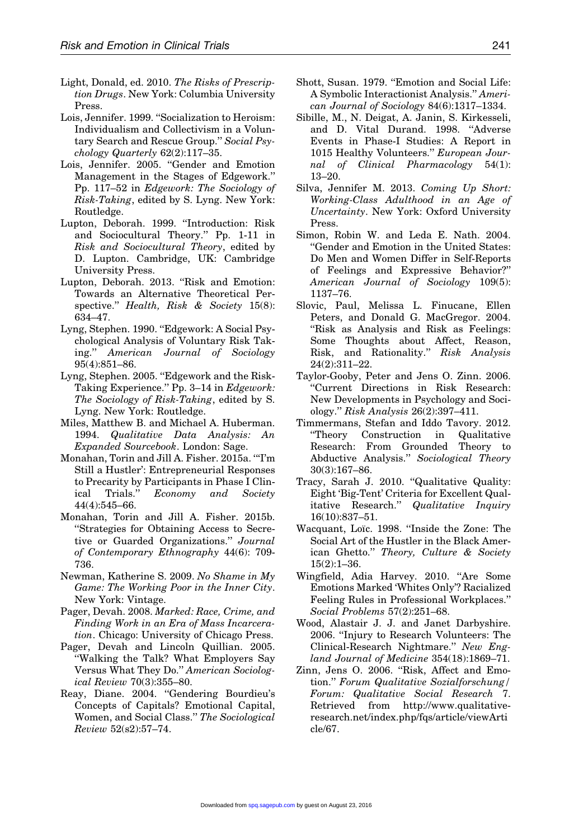- Light, Donald, ed. 2010. The Risks of Prescription Drugs. New York: Columbia University Press.
- Lois, Jennifer. 1999. ''Socialization to Heroism: Individualism and Collectivism in a Voluntary Search and Rescue Group.'' Social Psychology Quarterly 62(2):117–35.
- Lois, Jennifer. 2005. ''Gender and Emotion Management in the Stages of Edgework.'' Pp. 117–52 in Edgework: The Sociology of Risk-Taking, edited by S. Lyng. New York: Routledge.
- Lupton, Deborah. 1999. ''Introduction: Risk and Sociocultural Theory.'' Pp. 1-11 in Risk and Sociocultural Theory, edited by D. Lupton. Cambridge, UK: Cambridge University Press.
- Lupton, Deborah. 2013. ''Risk and Emotion: Towards an Alternative Theoretical Perspective." Health, Risk & Society 15(8): 634–47.
- Lyng, Stephen. 1990. ''Edgework: A Social Psychological Analysis of Voluntary Risk Taking.'' American Journal of Sociology 95(4):851–86.
- Lyng, Stephen. 2005. ''Edgework and the Risk-Taking Experience." Pp. 3–14 in *Edgework*: The Sociology of Risk-Taking, edited by S. Lyng. New York: Routledge.
- Miles, Matthew B. and Michael A. Huberman. 1994. Qualitative Data Analysis: An Expanded Sourcebook. London: Sage.
- Monahan, Torin and Jill A. Fisher. 2015a. "T'm Still a Hustler': Entrepreneurial Responses to Precarity by Participants in Phase I Clinical Trials.'' Economy and Society 44(4):545–66.
- Monahan, Torin and Jill A. Fisher. 2015b. ''Strategies for Obtaining Access to Secretive or Guarded Organizations.'' Journal of Contemporary Ethnography 44(6): 709- 736.
- Newman, Katherine S. 2009. No Shame in My Game: The Working Poor in the Inner City. New York: Vintage.
- Pager, Devah. 2008. Marked: Race, Crime, and Finding Work in an Era of Mass Incarceration. Chicago: University of Chicago Press.
- Pager, Devah and Lincoln Quillian. 2005. ''Walking the Talk? What Employers Say Versus What They Do.'' American Sociological Review 70(3):355–80.
- Reay, Diane. 2004. ''Gendering Bourdieu's Concepts of Capitals? Emotional Capital, Women, and Social Class.'' The Sociological Review 52(s2):57–74.
- Shott, Susan. 1979. ''Emotion and Social Life: A Symbolic Interactionist Analysis.'' American Journal of Sociology 84(6):1317–1334.
- Sibille, M., N. Deigat, A. Janin, S. Kirkesseli, and D. Vital Durand. 1998. ''Adverse Events in Phase-I Studies: A Report in 1015 Healthy Volunteers.'' European Journal of Clinical Pharmacology 54(1): 13–20.
- Silva, Jennifer M. 2013. Coming Up Short: Working-Class Adulthood in an Age of Uncertainty. New York: Oxford University Press.
- Simon, Robin W. and Leda E. Nath. 2004. ''Gender and Emotion in the United States: Do Men and Women Differ in Self-Reports of Feelings and Expressive Behavior?'' American Journal of Sociology 109(5): 1137–76.
- Slovic, Paul, Melissa L. Finucane, Ellen Peters, and Donald G. MacGregor. 2004. ''Risk as Analysis and Risk as Feelings: Some Thoughts about Affect, Reason, Risk, and Rationality.'' Risk Analysis 24(2):311–22.
- Taylor-Gooby, Peter and Jens O. Zinn. 2006. ''Current Directions in Risk Research: New Developments in Psychology and Sociology.'' Risk Analysis 26(2):397–411.
- Timmermans, Stefan and Iddo Tavory. 2012. ''Theory Construction in Qualitative Research: From Grounded Theory to Abductive Analysis.'' Sociological Theory 30(3):167–86.
- Tracy, Sarah J. 2010. ''Qualitative Quality: Eight 'Big-Tent' Criteria for Excellent Qualitative Research.'' Qualitative Inquiry 16(10):837–51.
- Wacquant, Loïc. 1998. "Inside the Zone: The Social Art of the Hustler in the Black American Ghetto.'' Theory, Culture & Society 15(2):1–36.
- Wingfield, Adia Harvey. 2010. ''Are Some Emotions Marked 'Whites Only'? Racialized Feeling Rules in Professional Workplaces.'' Social Problems 57(2):251–68.
- Wood, Alastair J. J. and Janet Darbyshire. 2006. ''Injury to Research Volunteers: The Clinical-Research Nightmare.'' New England Journal of Medicine 354(18):1869–71.
- Zinn, Jens O. 2006. ''Risk, Affect and Emotion.'' Forum Qualitative Sozialforschung/ Forum: Qualitative Social Research 7. Retrieved from [http://www.qualitative](http://www.qualitativeresearch.net/index.php/fqs/article/viewArticle/67)[research.net/index.php/fqs/article/viewArti](http://www.qualitativeresearch.net/index.php/fqs/article/viewArticle/67) [cle/67.](http://www.qualitativeresearch.net/index.php/fqs/article/viewArticle/67)